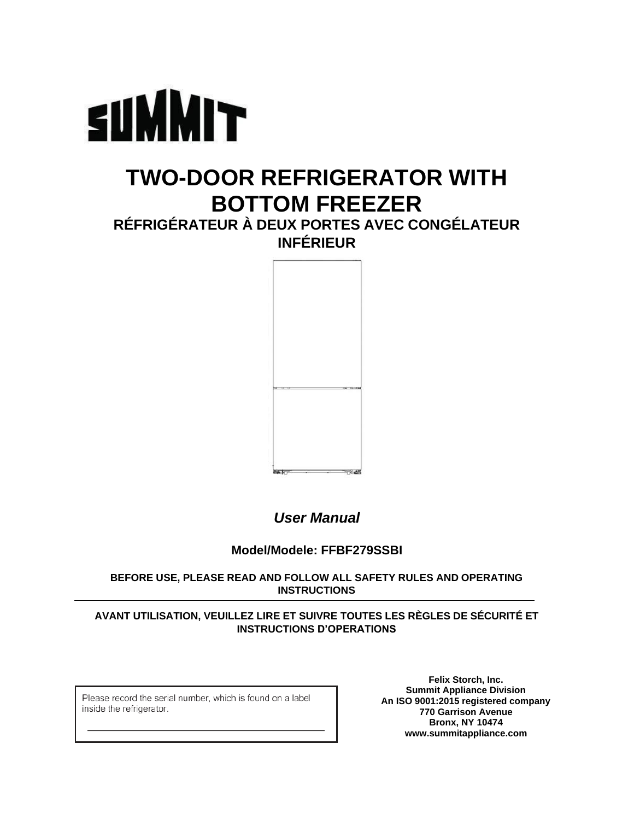

### **TWO-DOOR REFRIGERATOR WITH BOTTOM FREEZER**

### **RÉFRIGÉRATEUR À DEUX PORTES AVEC CONGÉLATEUR INFÉRIEUR**



### *User Manual*

### **Model/Modele: FFBF279SSBI**

### **BEFORE USE, PLEASE READ AND FOLLOW ALL SAFETY RULES AND OPERATING INSTRUCTIONS**

### **AVANT UTILISATION, VEUILLEZ LIRE ET SUIVRE TOUTES LES RÈGLES DE SÉCURITÉ ET INSTRUCTIONS D'OPERATIONS**

Please record the serial number, which is found on a label inside the refrigerator.

**Felix Storch, Inc. Summit Appliance Division An ISO 9001:2015 registered company 770 Garrison Avenue Bronx, NY 10474 [www.summitappliance.com](http://www.summitappliance.com/)**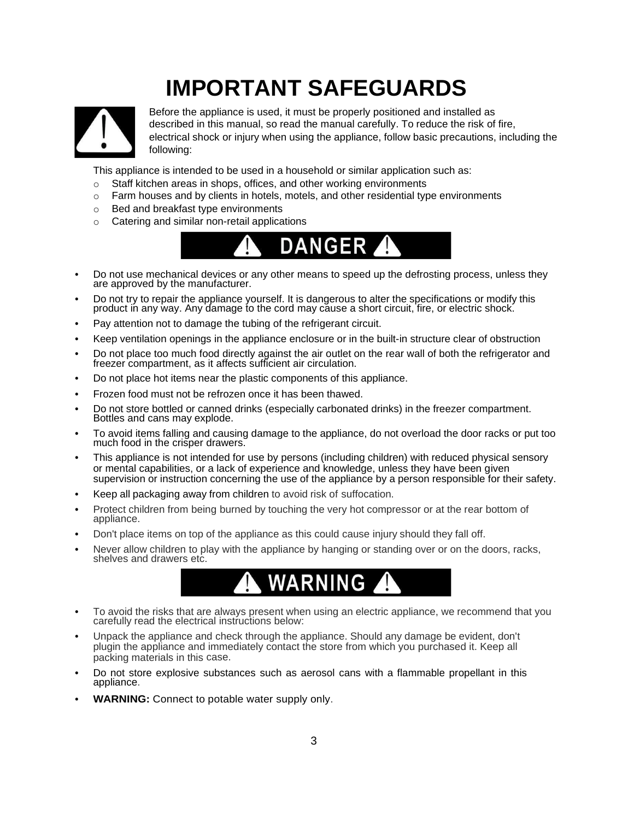## **IMPORTANT SAFEGUARDS**



Before the appliance is used, it must be properly positioned and installed as described in this manual, so read the manual carefully. To reduce the risk of fire, electrical shock or injury when using the appliance, follow basic precautions, including the following:

This appliance is intended to be used in a household or similar application such as:

- o Staff kitchen areas in shops, offices, and other working environments
- $\circ$  Farm houses and by clients in hotels, motels, and other residential type environments
- o Bed and breakfast type environments
- o Catering and similar non-retail applications



- Do not use mechanical devices or any other means to speed up the defrosting process, unless they are approved by the manufacturer.
- Do not try to repair the appliance yourself. It is dangerous to alter the specifications or modify this product in any way. Any damage to the cord may cause a short circuit, fire, or electric shock.
- Pay attention not to damage the tubing of the refrigerant circuit.
- Keep ventilation openings in the appliance enclosure or in the built-in structure clear of obstruction
- Do not place too much food directly against the air outlet on the rear wall of both the refrigerator and freezer compartment, as it affects sufficient air circulation.
- Do not place hot items near the plastic components of this appliance.
- Frozen food must not be refrozen once it has been thawed.
- Do not store bottled or canned drinks (especially carbonated drinks) in the freezer compartment. Bottles and cans may explode.
- To avoid items falling and causing damage to the appliance, do not overload the door racks or put too much food in the crisper drawers.
- This appliance is not intended for use by persons (including children) with reduced physical sensory or mental capabilities, or a lack of experience and knowledge, unless they have been given supervision or instruction concerning the use of the appliance by a person responsible for their safety.
- Keep all packaging away from children to avoid risk of suffocation.
- Protect children from being burned by touching the very hot compressor or at the rear bottom of appliance.
- Don't place items on top of the appliance as this could cause injury should they fall off.
- Never allow children to play with the appliance by hanging or standing over or on the doors, racks, shelves and drawers etc.



- To avoid the risks that are always present when using an electric appliance, we recommend that you carefully read the electrical instructions below:
- Unpack the appliance and check through the appliance. Should any damage be evident, don't plugin the appliance and immediately contact the store from which you purchased it. Keep all packing materials in this case.
- Do not store explosive substances such as aerosol cans with a flammable propellant in this appliance.
- **WARNING:** Connect to potable water supply only.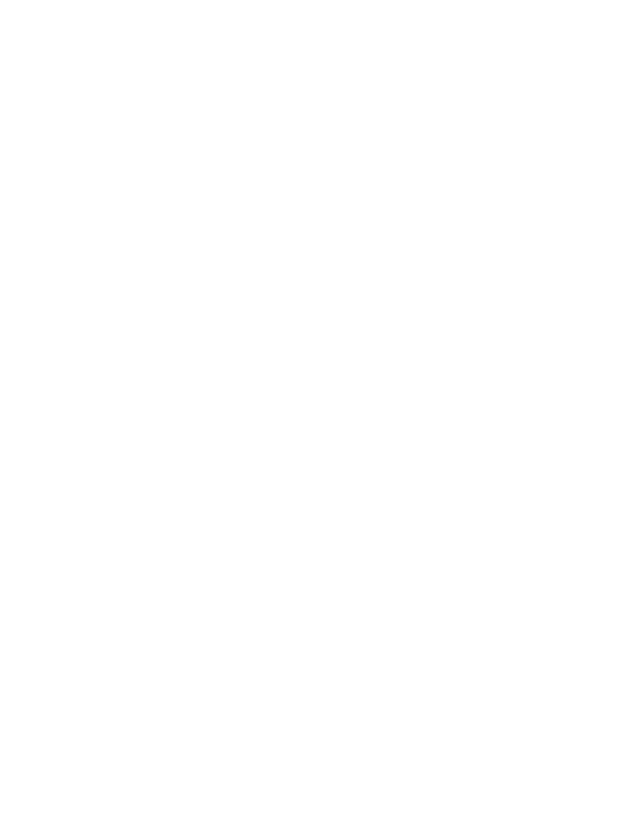### **TWO-DOOR REFRIGERATOR WITH BOTTOM FREEZER** RÉFRIGÉRATEUR À DEUX PORTES AVEC CONGÉLATEUR **INFÉRIEUR**

**User Manual** 

Model/Modele: FFBF279SSBI

BEFORE USE, PLEASE READ AND FOLLOW ALL SAFETY RULES AND OPERATING **INSTRUCTIONS** 

AVANT UTILISATION, VEUILLEZ LIRE ET SUIVRE TOUTES LES RÈGLES DE SÉCURITÉ ET INSTRUCTIONS  $\sqrt{9}$  23 (5\$7,216)

Felix Storch, Inc. Summit Appliance Division An ISO 9001:2015 registered company 770 Garrison Avenue Bronx, NY 10474 www.summitappliance.com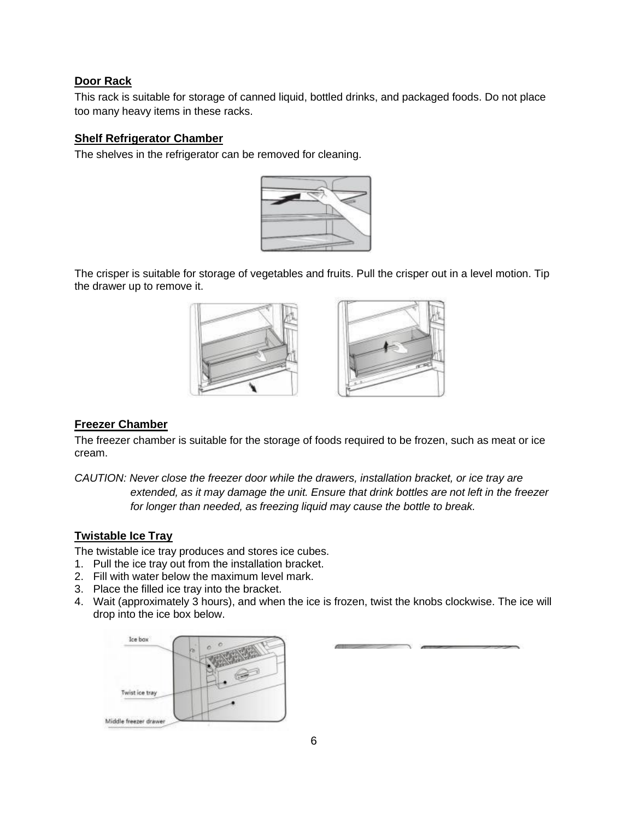### **Door Rack**

This rack is suitable for storage of canned liquid, bottled drinks, and packaged foods. Do not place too many heavy items in these racks.

### **Shelf Refrigerator Chamber**

The shelves in the refrigerator can be removed for cleaning.



The crisper is suitable for storage of vegetables and fruits. Pull the crisper out in a level motion. Tip the drawer up to remove it.



### **Freezer Chamber**

The freezer chamber is suitable for the storage of foods required to be frozen, such as meat or ice cream.

*CAUTION: Never close the freezer door while the drawers, installation bracket, or ice tray are extended, as it may damage the unit. Ensure that drink bottles are not left in the freezer for longer than needed, as freezing liquid may cause the bottle to break.*

### **Twistable Ice Tray**

The twistable ice tray produces and stores ice cubes.

- 1. Pull the ice tray out from the installation bracket.
- 2. Fill with water below the maximum level mark.
- 3. Place the filled ice tray into the bracket.
- 4. Wait (approximately 3 hours), and when the ice is frozen, twist the knobs clockwise. The ice will drop into the ice box below.

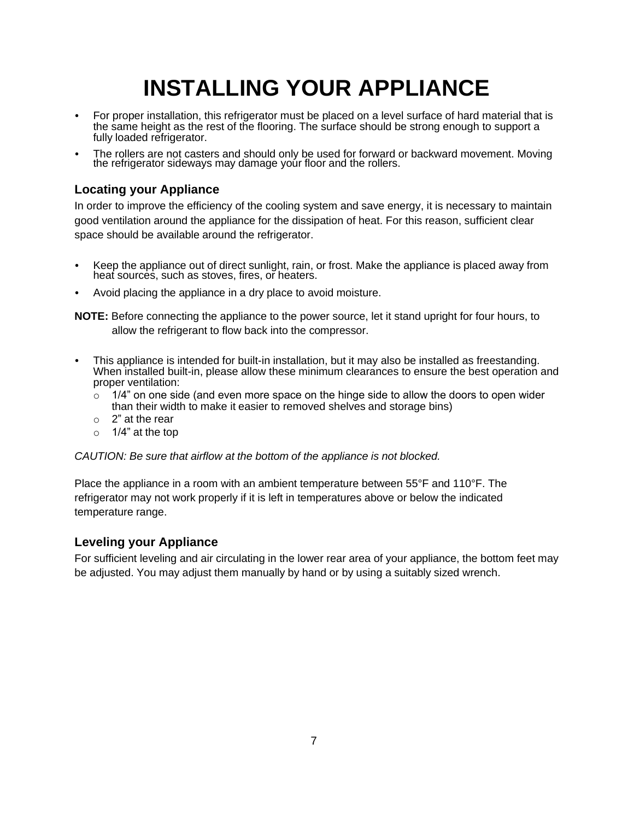# **INSTALLING YOUR APPLIANCE**

- For proper installation, this refrigerator must be placed on a level surface of hard material that is the same height as the rest of the flooring. The surface should be strong enough to support a fully loaded refrigerator.
- The rollers are not casters and should only be used for forward or backward movement. Moving the refrigerator sideways may damage your floor and the rollers.

### **Locating your Appliance**

In order to improve the efficiency of the cooling system and save energy, it is necessary to maintain good ventilation around the appliance for the dissipation of heat. For this reason, sufficient clear space should be available around the refrigerator.

- Keep the appliance out of direct sunlight, rain, or frost. Make the appliance is placed away from heat sources, such as stoves, fires, or heaters.
- Avoid placing the appliance in a dry place to avoid moisture.

**NOTE:** Before connecting the appliance to the power source, let it stand upright for four hours, to allow the refrigerant to flow back into the compressor.

- This appliance is intended for built-in installation, but it may also be installed as freestanding. When installed built-in, please allow these minimum clearances to ensure the best operation and proper ventilation:
	- $\circ$  1/4" on one side (and even more space on the hinge side to allow the doors to open wider than their width to make it easier to removed shelves and storage bins)
	- o 2" at the rear
	- $\circ$  1/4" at the top

### *CAUTION: Be sure that airflow at the bottom of the appliance is not blocked.*

Place the appliance in a room with an ambient temperature between 55°F and 110°F. The refrigerator may not work properly if it is left in temperatures above or below the indicated temperature range.

### **Leveling your Appliance**

For sufficient leveling and air circulating in the lower rear area of your appliance, the bottom feet may be adjusted. You may adjust them manually by hand or by using a suitably sized wrench.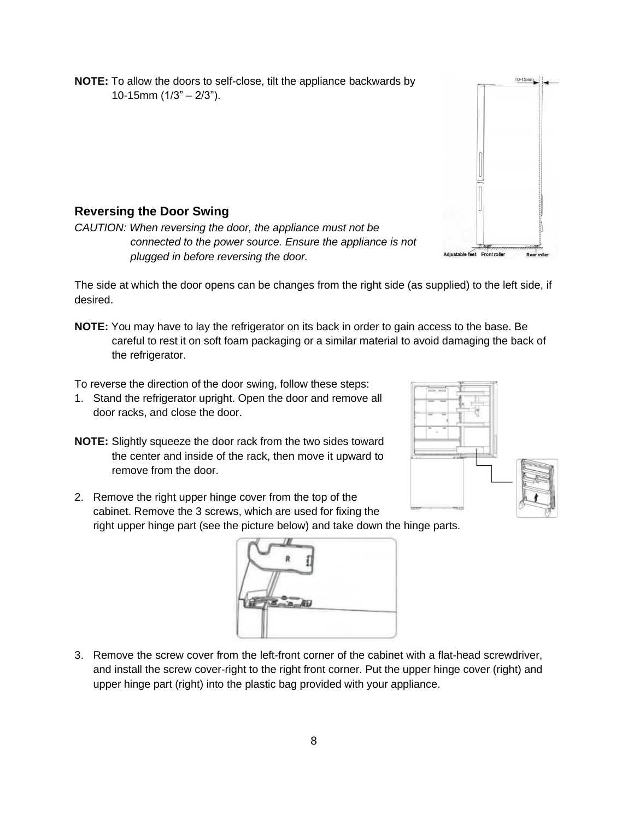**NOTE:** To allow the doors to self-close, tilt the appliance backwards by 10-15mm  $(1/3" - 2/3")$ .

### **Reversing the Door Swing**

*CAUTION: When reversing the door, the appliance must not be connected to the power source. Ensure the appliance is not plugged in before reversing the door.*

The side at which the door opens can be changes from the right side (as supplied) to the left side, if desired.

**NOTE:** You may have to lay the refrigerator on its back in order to gain access to the base. Be careful to rest it on soft foam packaging or a similar material to avoid damaging the back of the refrigerator.

To reverse the direction of the door swing, follow these steps:

- 1. Stand the refrigerator upright. Open the door and remove all door racks, and close the door.
- **NOTE:** Slightly squeeze the door rack from the two sides toward the center and inside of the rack, then move it upward to remove from the door.



2. Remove the right upper hinge cover from the top of the cabinet. Remove the 3 screws, which are used for fixing the right upper hinge part (see the picture below) and take down the hinge parts.



3. Remove the screw cover from the left-front corner of the cabinet with a flat-head screwdriver, and install the screw cover-right to the right front corner. Put the upper hinge cover (right) and upper hinge part (right) into the plastic bag provided with your appliance.

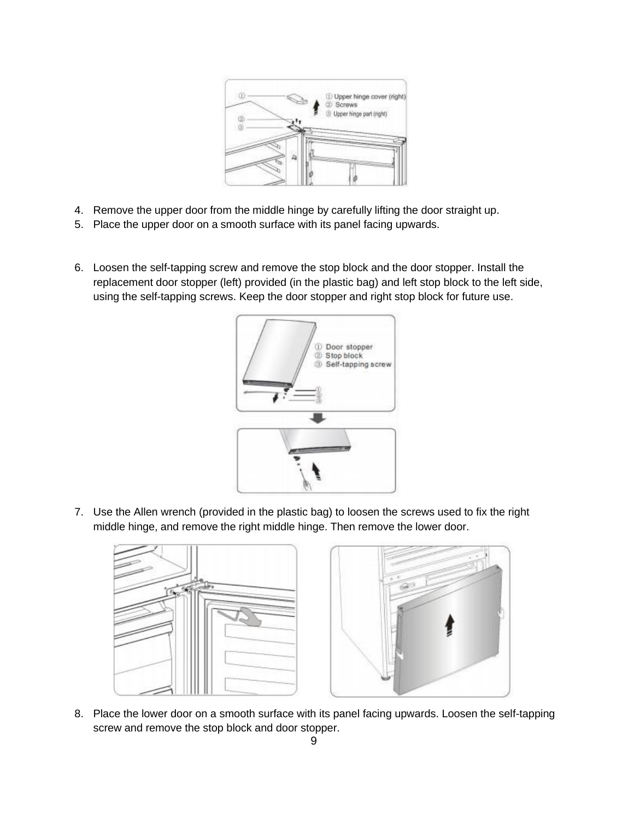

- 4. Remove the upper door from the middle hinge by carefully lifting the door straight up.
- 5. Place the upper door on a smooth surface with its panel facing upwards.
- 6. Loosen the self-tapping screw and remove the stop block and the door stopper. Install the replacement door stopper (left) provided (in the plastic bag) and left stop block to the left side, using the self-tapping screws. Keep the door stopper and right stop block for future use.



7. Use the Allen wrench (provided in the plastic bag) to loosen the screws used to fix the right middle hinge, and remove the right middle hinge. Then remove the lower door.





8. Place the lower door on a smooth surface with its panel facing upwards. Loosen the self-tapping screw and remove the stop block and door stopper.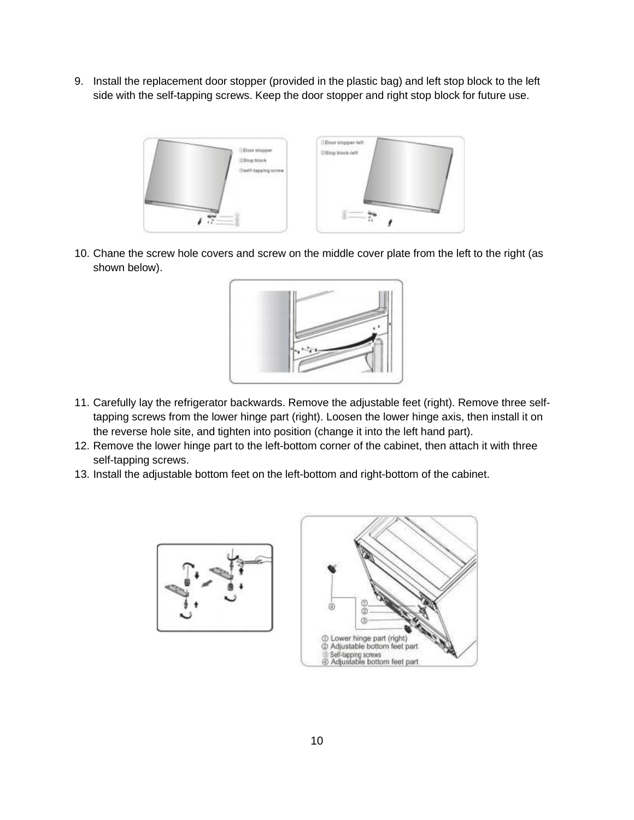9. Install the replacement door stopper (provided in the plastic bag) and left stop block to the left side with the self-tapping screws. Keep the door stopper and right stop block for future use.



10. Chane the screw hole covers and screw on the middle cover plate from the left to the right (as shown below).



- 11. Carefully lay the refrigerator backwards. Remove the adjustable feet (right). Remove three selftapping screws from the lower hinge part (right). Loosen the lower hinge axis, then install it on the reverse hole site, and tighten into position (change it into the left hand part).
- 12. Remove the lower hinge part to the left-bottom corner of the cabinet, then attach it with three self-tapping screws.
- 13. Install the adjustable bottom feet on the left-bottom and right-bottom of the cabinet.

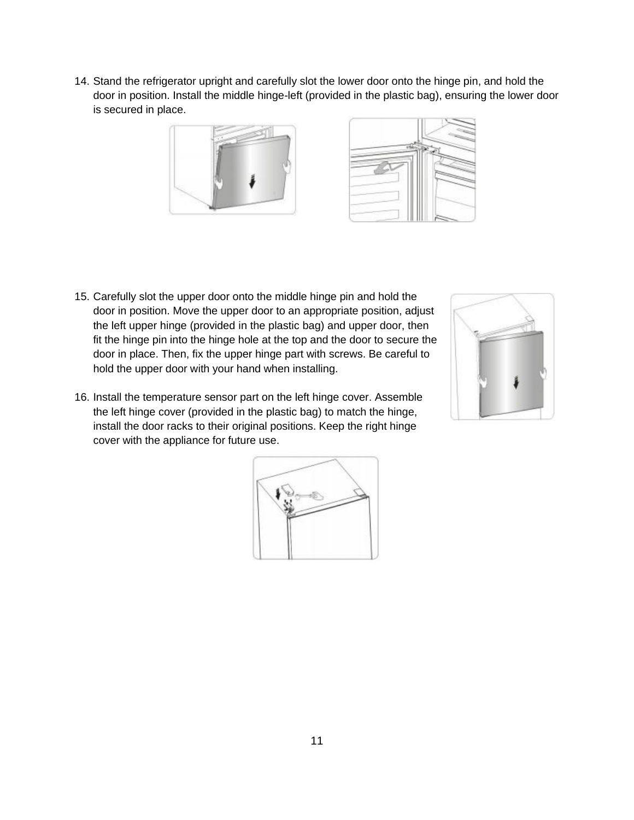14. Stand the refrigerator upright and carefully slot the lower door onto the hinge pin, and hold the door in position. Install the middle hinge-left (provided in the plastic bag), ensuring the lower door is secured in place.



- 15. Carefully slot the upper door onto the middle hinge pin and hold the door in position. Move the upper door to an appropriate position, adjust the left upper hinge (provided in the plastic bag) and upper door, then fit the hinge pin into the hinge hole at the top and the door to secure the door in place. Then, fix the upper hinge part with screws. Be careful to hold the upper door with your hand when installing.
- 16. Install the temperature sensor part on the left hinge cover. Assemble the left hinge cover (provided in the plastic bag) to match the hinge, install the door racks to their original positions. Keep the right hinge cover with the appliance for future use.



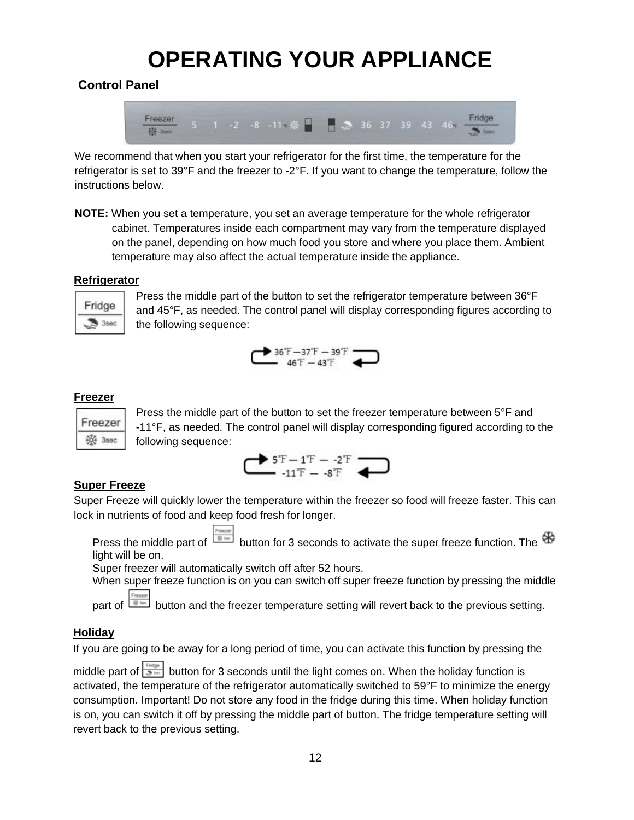# **OPERATING YOUR APPLIANCE**

### **Control Panel**



We recommend that when you start your refrigerator for the first time, the temperature for the refrigerator is set to 39°F and the freezer to -2°F. If you want to change the temperature, follow the instructions below.

**NOTE:** When you set a temperature, you set an average temperature for the whole refrigerator cabinet. Temperatures inside each compartment may vary from the temperature displayed on the panel, depending on how much food you store and where you place them. Ambient temperature may also affect the actual temperature inside the appliance.

### **Refrigerator**



Press the middle part of the button to set the refrigerator temperature between 36°F and 45°F, as needed. The control panel will display corresponding figures according to the following sequence:



### **Freezer**

Press the middle part of the button to set the freezer temperature between 5°F and -11°F, as needed. The control panel will display corresponding figured according to the following sequence:



### **Super Freeze**

Super Freeze will quickly lower the temperature within the freezer so food will freeze faster. This can lock in nutrients of food and keep food fresh for longer.

Press the middle part of  $\frac{F_{\text{recoars}}}{F_{\text{inter}}}$  button for 3 seconds to activate the super freeze function. The  $\frac{4F_{\text{inter}}}{F_{\text{inter}}}$ light will be on.

Super freezer will automatically switch off after 52 hours.

When super freeze function is on you can switch off super freeze function by pressing the middle

part of **FINCORE CONCRYT DET**<br>button and the freezer temperature setting will revert back to the previous setting.

### **Holiday**

If you are going to be away for a long period of time, you can activate this function by pressing the

middle part of  $\boxed{\bullet}$  button for 3 seconds until the light comes on. When the holiday function is activated, the temperature of the refrigerator automatically switched to 59°F to minimize the energy consumption. Important! Do not store any food in the fridge during this time. When holiday function is on, you can switch it off by pressing the middle part of button. The fridge temperature setting will revert back to the previous setting.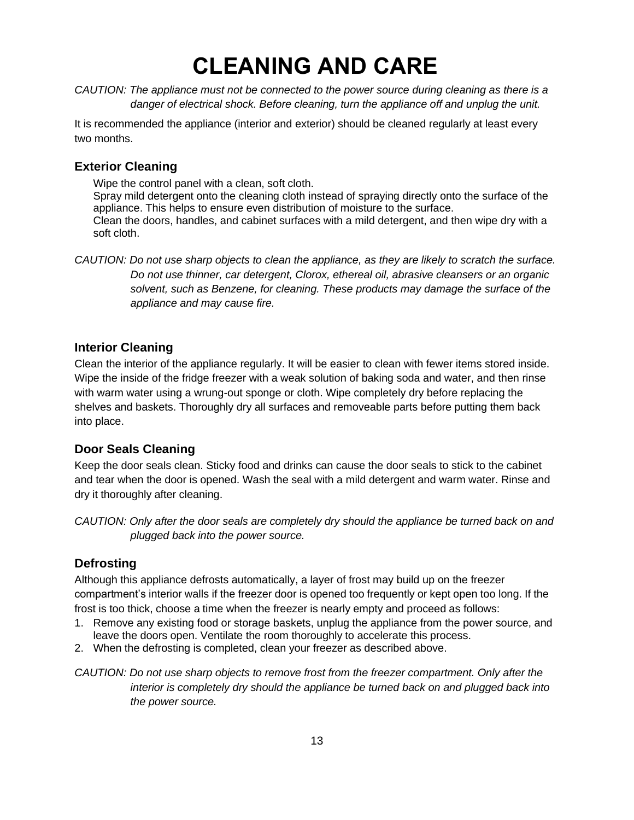### **CLEANING AND CARE**

*CAUTION: The appliance must not be connected to the power source during cleaning as there is a danger of electrical shock. Before cleaning, turn the appliance off and unplug the unit.*

It is recommended the appliance (interior and exterior) should be cleaned regularly at least every two months.

### **Exterior Cleaning**

Wipe the control panel with a clean, soft cloth. Spray mild detergent onto the cleaning cloth instead of spraying directly onto the surface of the appliance. This helps to ensure even distribution of moisture to the surface. Clean the doors, handles, and cabinet surfaces with a mild detergent, and then wipe dry with a soft cloth.

### **Interior Cleaning**

Clean the interior of the appliance regularly. It will be easier to clean with fewer items stored inside. Wipe the inside of the fridge freezer with a weak solution of baking soda and water, and then rinse with warm water using a wrung-out sponge or cloth. Wipe completely dry before replacing the shelves and baskets. Thoroughly dry all surfaces and removeable parts before putting them back into place.

### **Door Seals Cleaning**

Keep the door seals clean. Sticky food and drinks can cause the door seals to stick to the cabinet and tear when the door is opened. Wash the seal with a mild detergent and warm water. Rinse and dry it thoroughly after cleaning.

*CAUTION: Only after the door seals are completely dry should the appliance be turned back on and plugged back into the power source.*

### **Defrosting**

Although this appliance defrosts automatically, a layer of frost may build up on the freezer compartment's interior walls if the freezer door is opened too frequently or kept open too long. If the frost is too thick, choose a time when the freezer is nearly empty and proceed as follows:

- 1. Remove any existing food or storage baskets, unplug the appliance from the power source, and leave the doors open. Ventilate the room thoroughly to accelerate this process.
- 2. When the defrosting is completed, clean your freezer as described above.

*CAUTION: Do not use sharp objects to remove frost from the freezer compartment. Only after the interior is completely dry should the appliance be turned back on and plugged back into the power source.*

*CAUTION: Do not use sharp objects to clean the appliance, as they are likely to scratch the surface. Do not use thinner, car detergent, Clorox, ethereal oil, abrasive cleansers or an organic solvent, such as Benzene, for cleaning. These products may damage the surface of the appliance and may cause fire.*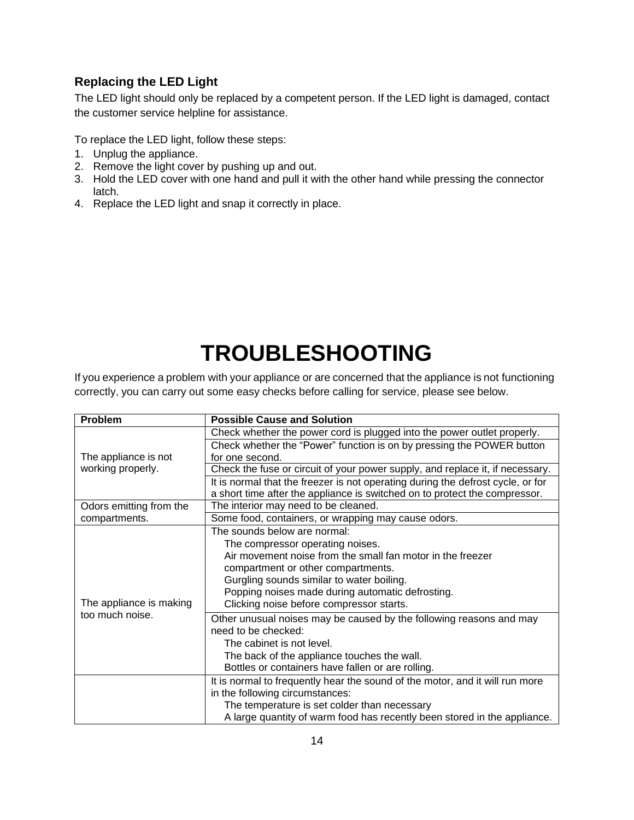### **Replacing the LED Light**

The LED light should only be replaced by a competent person. If the LED light is damaged, contact the customer service helpline for assistance.

To replace the LED light, follow these steps:

- 1. Unplug the appliance.
- 2. Remove the light cover by pushing up and out.
- 3. Hold the LED cover with one hand and pull it with the other hand while pressing the connector latch.
- 4. Replace the LED light and snap it correctly in place.

### **TROUBLESHOOTING**

If you experience a problem with your appliance or are concerned that the appliance is not functioning correctly, you can carry out some easy checks before calling for service, please see below.

| Problem                 | <b>Possible Cause and Solution</b>                                              |
|-------------------------|---------------------------------------------------------------------------------|
|                         | Check whether the power cord is plugged into the power outlet properly.         |
|                         | Check whether the "Power" function is on by pressing the POWER button           |
| The appliance is not    | for one second.                                                                 |
| working properly.       | Check the fuse or circuit of your power supply, and replace it, if necessary.   |
|                         | It is normal that the freezer is not operating during the defrost cycle, or for |
|                         | a short time after the appliance is switched on to protect the compressor.      |
| Odors emitting from the | The interior may need to be cleaned.                                            |
| compartments.           | Some food, containers, or wrapping may cause odors.                             |
|                         | The sounds below are normal:                                                    |
|                         | The compressor operating noises.                                                |
|                         | Air movement noise from the small fan motor in the freezer                      |
|                         | compartment or other compartments.                                              |
|                         | Gurgling sounds similar to water boiling.                                       |
|                         | Popping noises made during automatic defrosting.                                |
| The appliance is making | Clicking noise before compressor starts.                                        |
| too much noise.         | Other unusual noises may be caused by the following reasons and may             |
|                         | need to be checked:                                                             |
|                         | The cabinet is not level.                                                       |
|                         | The back of the appliance touches the wall.                                     |
|                         | Bottles or containers have fallen or are rolling.                               |
|                         | It is normal to frequently hear the sound of the motor, and it will run more    |
|                         | in the following circumstances:                                                 |
|                         | The temperature is set colder than necessary                                    |
|                         | A large quantity of warm food has recently been stored in the appliance.        |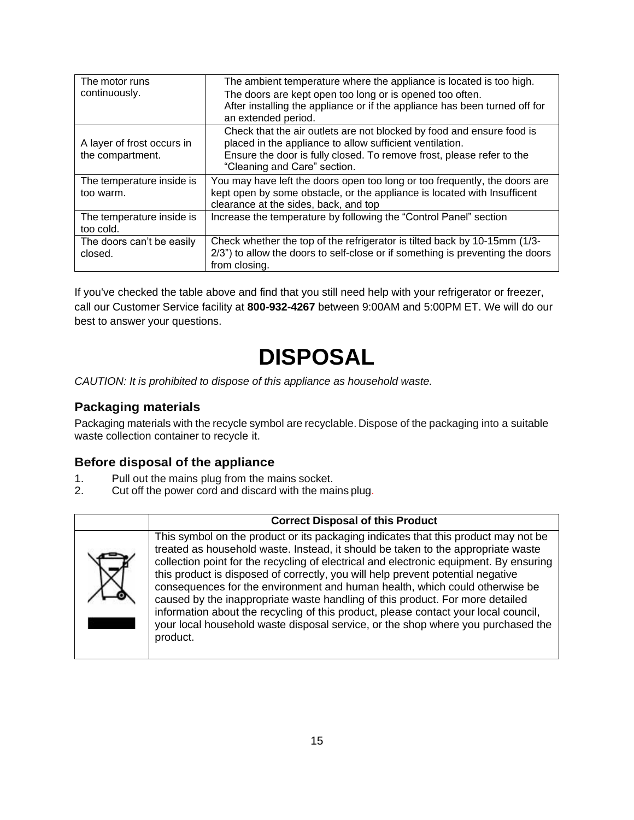| The motor runs<br>continuously.                | The ambient temperature where the appliance is located is too high.<br>The doors are kept open too long or is opened too often.<br>After installing the appliance or if the appliance has been turned off for<br>an extended period.       |
|------------------------------------------------|--------------------------------------------------------------------------------------------------------------------------------------------------------------------------------------------------------------------------------------------|
| A layer of frost occurs in<br>the compartment. | Check that the air outlets are not blocked by food and ensure food is<br>placed in the appliance to allow sufficient ventilation.<br>Ensure the door is fully closed. To remove frost, please refer to the<br>"Cleaning and Care" section. |
| The temperature inside is<br>too warm.         | You may have left the doors open too long or too frequently, the doors are<br>kept open by some obstacle, or the appliance is located with Insufficent<br>clearance at the sides, back, and top                                            |
| The temperature inside is<br>too cold.         | Increase the temperature by following the "Control Panel" section                                                                                                                                                                          |
| The doors can't be easily<br>closed.           | Check whether the top of the refrigerator is tilted back by 10-15mm (1/3-<br>2/3") to allow the doors to self-close or if something is preventing the doors<br>from closing.                                                               |

If you've checked the table above and find that you still need help with your refrigerator or freezer, call our Customer Service facility at **800-932-4267** between 9:00AM and 5:00PM ET. We will do our best to answer your questions.

## **DISPOSAL**

*CAUTION: It is prohibited to dispose of this appliance as household waste.*

### **Packaging materials**

Packaging materials with the recycle symbol are recyclable. Dispose of the packaging into a suitable waste collection container to recycle it.

### **Before disposal of the appliance**

- 1. Pull out the mains plug from the mains socket.
- 2. Cut off the power cord and discard with the mains plug.

### **Correct Disposal of this Product**

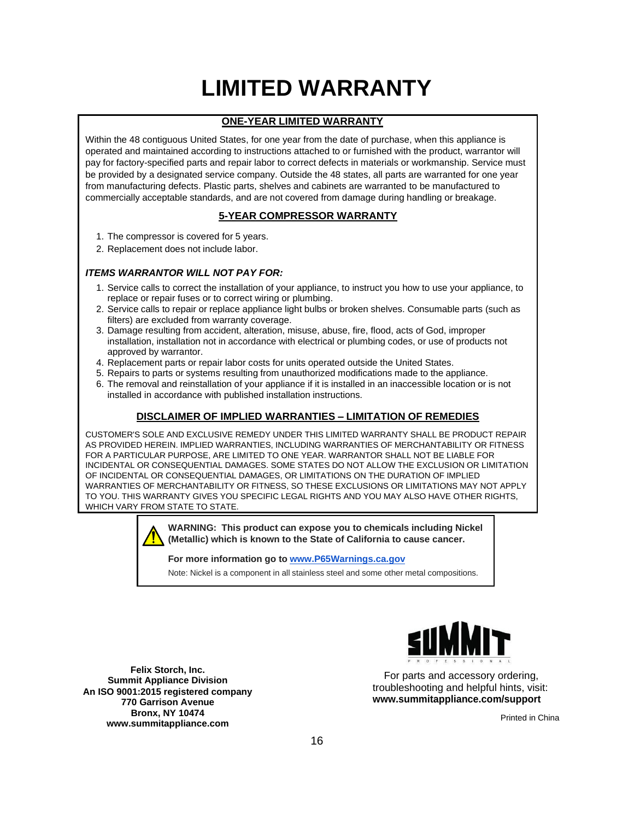### **LIMITED WARRANTY**

### **ONE-YEAR LIMITED WARRANTY**

Within the 48 contiguous United States, for one year from the date of purchase, when this appliance is operated and maintained according to instructions attached to or furnished with the product, warrantor will pay for factory-specified parts and repair labor to correct defects in materials or workmanship. Service must be provided by a designated service company. Outside the 48 states, all parts are warranted for one year from manufacturing defects. Plastic parts, shelves and cabinets are warranted to be manufactured to commercially acceptable standards, and are not covered from damage during handling or breakage.

### **5-YEAR COMPRESSOR WARRANTY**

- 1. The compressor is covered for 5 years.
- 2. Replacement does not include labor.

#### *ITEMS WARRANTOR WILL NOT PAY FOR:*

- 1. Service calls to correct the installation of your appliance, to instruct you how to use your appliance, to replace or repair fuses or to correct wiring or plumbing.
- 2. Service calls to repair or replace appliance light bulbs or broken shelves. Consumable parts (such as filters) are excluded from warranty coverage.
- 3. Damage resulting from accident, alteration, misuse, abuse, fire, flood, acts of God, improper installation, installation not in accordance with electrical or plumbing codes, or use of products not approved by warrantor.
- 4. Replacement parts or repair labor costs for units operated outside the United States.
- 5. Repairs to parts or systems resulting from unauthorized modifications made to the appliance.
- 6. The removal and reinstallation of your appliance if it is installed in an inaccessible location or is not installed in accordance with published installation instructions.

### **DISCLAIMER OF IMPLIED WARRANTIES – LIMITATION OF REMEDIES**

CUSTOMER'S SOLE AND EXCLUSIVE REMEDY UNDER THIS LIMITED WARRANTY SHALL BE PRODUCT REPAIR AS PROVIDED HEREIN. IMPLIED WARRANTIES, INCLUDING WARRANTIES OF MERCHANTABILITY OR FITNESS FOR A PARTICULAR PURPOSE, ARE LIMITED TO ONE YEAR. WARRANTOR SHALL NOT BE LIABLE FOR INCIDENTAL OR CONSEQUENTIAL DAMAGES. SOME STATES DO NOT ALLOW THE EXCLUSION OR LIMITATION OF INCIDENTAL OR CONSEQUENTIAL DAMAGES, OR LIMITATIONS ON THE DURATION OF IMPLIED WARRANTIES OF MERCHANTABILITY OR FITNESS, SO THESE EXCLUSIONS OR LIMITATIONS MAY NOT APPLY TO YOU. THIS WARRANTY GIVES YOU SPECIFIC LEGAL RIGHTS AND YOU MAY ALSO HAVE OTHER RIGHTS, WHICH VARY FROM STATE TO STATE.



**WARNING: This product can expose you to chemicals including Nickel (Metallic) which is known to the State of California to cause cancer.**

**For more information go to [www.P65Warnings.ca.gov](http://www.p65warnings.ca.gov/)**

Note: Nickel is a component in all stainless steel and some other metal compositions.



For parts and accessory ordering, troubleshooting and helpful hints, visit: **[www.summitappliance.com/support](http://www.summitappliance.com/support)**

Printed in China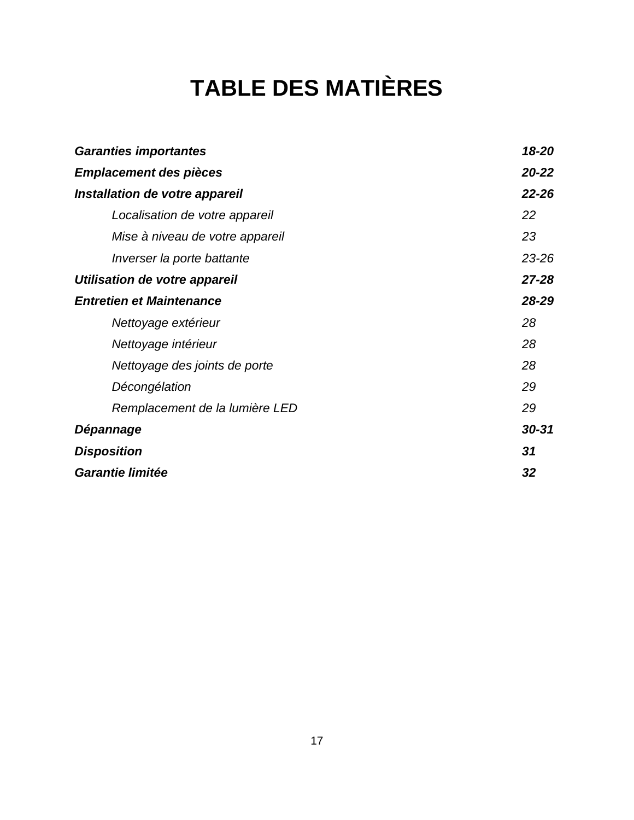# **TABLE DES MATIÈRES**

| <b>Garanties importantes</b>    | 18-20     |
|---------------------------------|-----------|
| <b>Emplacement des pièces</b>   | $20 - 22$ |
| Installation de votre appareil  | $22 - 26$ |
| Localisation de votre appareil  | 22        |
| Mise à niveau de votre appareil | 23        |
| Inverser la porte battante      | $23 - 26$ |
| Utilisation de votre appareil   | $27 - 28$ |
| <b>Entretien et Maintenance</b> | 28-29     |
| Nettoyage extérieur             | 28        |
| Nettoyage intérieur             | 28        |
| Nettoyage des joints de porte   | 28        |
| Décongélation                   | 29        |
| Remplacement de la lumière LED  | 29        |
| Dépannage                       | $30 - 31$ |
| <b>Disposition</b>              | 31        |
| Garantie limitée                | 32        |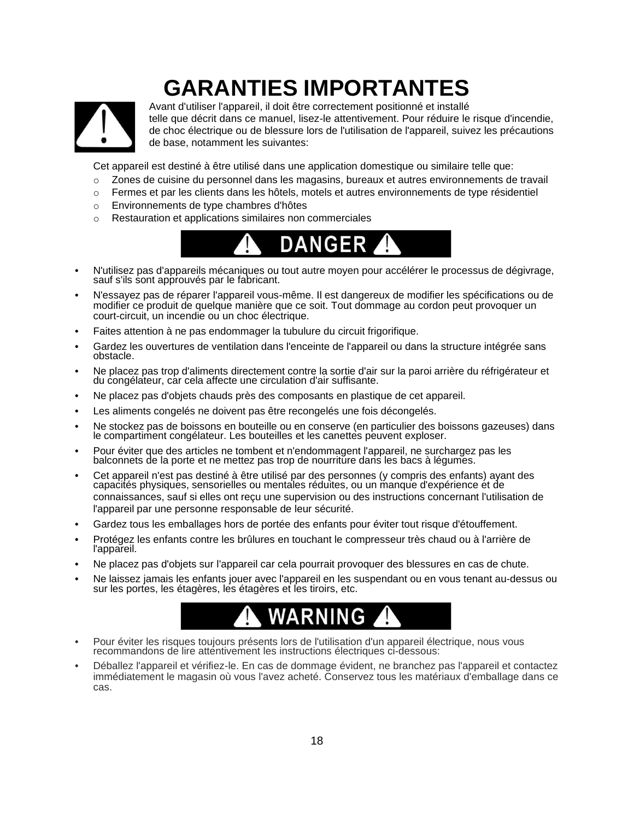### **GARANTIES IMPORTANTES**

<span id="page-17-0"></span>

Avant d'utiliser l'appareil, il doit être correctement positionné et installé telle que décrit dans ce manuel, lisez-le attentivement. Pour réduire le risque d'incendie, de choc électrique ou de blessure lors de l'utilisation de l'appareil, suivez les précautions de base, notamment les suivantes:

Cet appareil est destiné à être utilisé dans une application domestique ou similaire telle que:

- $\circ$  Zones de cuisine du personnel dans les magasins, bureaux et autres environnements de travail
- o Fermes et par les clients dans les hôtels, motels et autres environnements de type résidentiel
- o Environnements de type chambres d'hôtes
- o Restauration et applications similaires non commerciales



- N'utilisez pas d'appareils mécaniques ou tout autre moyen pour accélérer le processus de dégivrage, sauf s'ils sont approuvés par le fabricant.
- N'essayez pas de réparer l'appareil vous-même. Il est dangereux de modifier les spécifications ou de modifier ce produit de quelque manière que ce soit. Tout dommage au cordon peut provoquer un court-circuit, un incendie ou un choc électrique.
- Faites attention à ne pas endommager la tubulure du circuit frigorifique.
- Gardez les ouvertures de ventilation dans l'enceinte de l'appareil ou dans la structure intégrée sans obstacle.
- Ne placez pas trop d'aliments directement contre la sortie d'air sur la paroi arrière du réfrigérateur et du congélateur, car cela affecte une circulation d'air suffisante.
- Ne placez pas d'objets chauds près des composants en plastique de cet appareil.
- Les aliments congelés ne doivent pas être recongelés une fois décongelés.
- Ne stockez pas de boissons en bouteille ou en conserve (en particulier des boissons gazeuses) dans le compartiment congélateur. Les bouteilles et les canettes peuvent exploser.
- Pour éviter que des articles ne tombent et n'endommagent l'appareil, ne surchargez pas les balconnets de la porte et ne mettez pas trop de nourriture dans les bacs à légumes.
- Cet appareil n'est pas destiné à être utilisé par des personnes (y compris des enfants) ayant des capacités physiques, sensorielles ou mentales réduites, ou un manque d'expérience et de connaissances, sauf si elles ont reçu une supervision ou des instructions concernant l'utilisation de l'appareil par une personne responsable de leur sécurité.
- Gardez tous les emballages hors de portée des enfants pour éviter tout risque d'étouffement.
- Protégez les enfants contre les brûlures en touchant le compresseur très chaud ou à l'arrière de l'appareil.
- Ne placez pas d'objets sur l'appareil car cela pourrait provoquer des blessures en cas de chute.
- Ne laissez jamais les enfants jouer avec l'appareil en les suspendant ou en vous tenant au-dessus ou sur les portes, les étagères, les étagères et les tiroirs, etc.

### WARNING

- Pour éviter les risques toujours présents lors de l'utilisation d'un appareil électrique, nous vous recommandons de lire attentivement les instructions électriques ci-dessous:
- Déballez l'appareil et vérifiez-le. En cas de dommage évident, ne branchez pas l'appareil et contactez immédiatement le magasin où vous l'avez acheté. Conservez tous les matériaux d'emballage dans ce cas.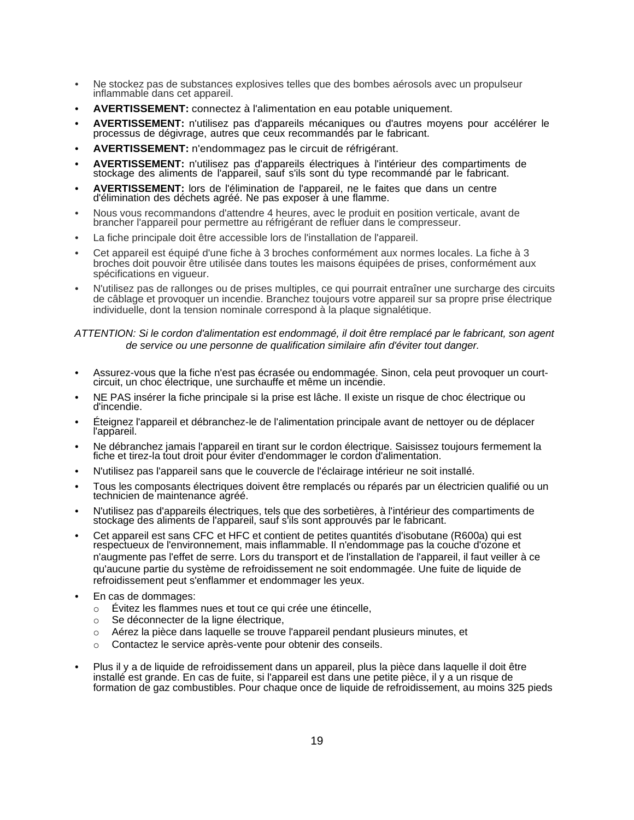- Ne stockez pas de substances explosives telles que des bombes aérosols avec un propulseur inflammable dans cet appareil.
- **AVERTISSEMENT:** connectez à l'alimentation en eau potable uniquement.
- **AVERTISSEMENT:** n'utilisez pas d'appareils mécaniques ou d'autres moyens pour accélérer le processus de dégivrage, autres que ceux recommandés par le fabricant.
- **AVERTISSEMENT:** n'endommagez pas le circuit de réfrigérant.
- **AVERTISSEMENT:** n'utilisez pas d'appareils électriques à l'intérieur des compartiments de stockage des aliments de l'appareil, sauf s'ils sont du type recommandé par le fabricant.
- **AVERTISSEMENT:** lors de l'élimination de l'appareil, ne le faites que dans un centre d'élimination des déchets agréé. Ne pas exposer à une flamme.
- Nous vous recommandons d'attendre 4 heures, avec le produit en position verticale, avant de brancher l'appareil pour permettre au réfrigérant de refluer dans le compresseur.
- La fiche principale doit être accessible lors de l'installation de l'appareil.
- Cet appareil est équipé d'une fiche à 3 broches conformément aux normes locales. La fiche à 3 broches doit pouvoir être utilisée dans toutes les maisons équipées de prises, conformément aux spécifications en vigueur.
- N'utilisez pas de rallonges ou de prises multiples, ce qui pourrait entraîner une surcharge des circuits de câblage et provoquer un incendie. Branchez toujours votre appareil sur sa propre prise électrique individuelle, dont la tension nominale correspond à la plaque signalétique.

#### *ATTENTION: Si le cordon d'alimentation est endommagé, il doit être remplacé par le fabricant, son agent de service ou une personne de qualification similaire afin d'éviter tout danger.*

- Assurez-vous que la fiche n'est pas écrasée ou endommagée. Sinon, cela peut provoquer un courtcircuit, un choc électrique, une surchauffe et même un incendie.
- NE PAS insérer la fiche principale si la prise est lâche. Il existe un risque de choc électrique ou d'incendie.
- Éteignez l'appareil et débranchez-le de l'alimentation principale avant de nettoyer ou de déplacer l'appareil.
- Ne débranchez jamais l'appareil en tirant sur le cordon électrique. Saisissez toujours fermement la fiche et tirez-la tout droit pour éviter d'endommager le cordon d'alimentation.
- N'utilisez pas l'appareil sans que le couvercle de l'éclairage intérieur ne soit installé.
- Tous les composants électriques doivent être remplacés ou réparés par un électricien qualifié ou un technicien de maintenance agréé.
- N'utilisez pas d'appareils électriques, tels que des sorbetières, à l'intérieur des compartiments de stockage des aliments de l'appareil, sauf s'ils sont approuvés par le fabricant.
- Cet appareil est sans CFC et HFC et contient de petites quantités d'isobutane (R600a) qui est respectueux de l'environnement, mais inflammable. Il n'endommage pas la couche d'ozone et n'augmente pas l'effet de serre. Lors du transport et de l'installation de l'appareil, il faut veiller à ce qu'aucune partie du système de refroidissement ne soit endommagée. Une fuite de liquide de refroidissement peut s'enflammer et endommager les yeux.
- En cas de dommages:
	- o Évitez les flammes nues et tout ce qui crée une étincelle,
	- o Se déconnecter de la ligne électrique,
	- o Aérez la pièce dans laquelle se trouve l'appareil pendant plusieurs minutes, et
	- o Contactez le service après-vente pour obtenir des conseils.
- Plus il y a de liquide de refroidissement dans un appareil, plus la pièce dans laquelle il doit être installé est grande. En cas de fuite, si l'appareil est dans une petite pièce, il y a un risque de formation de gaz combustibles. Pour chaque once de liquide de refroidissement, au moins 325 pieds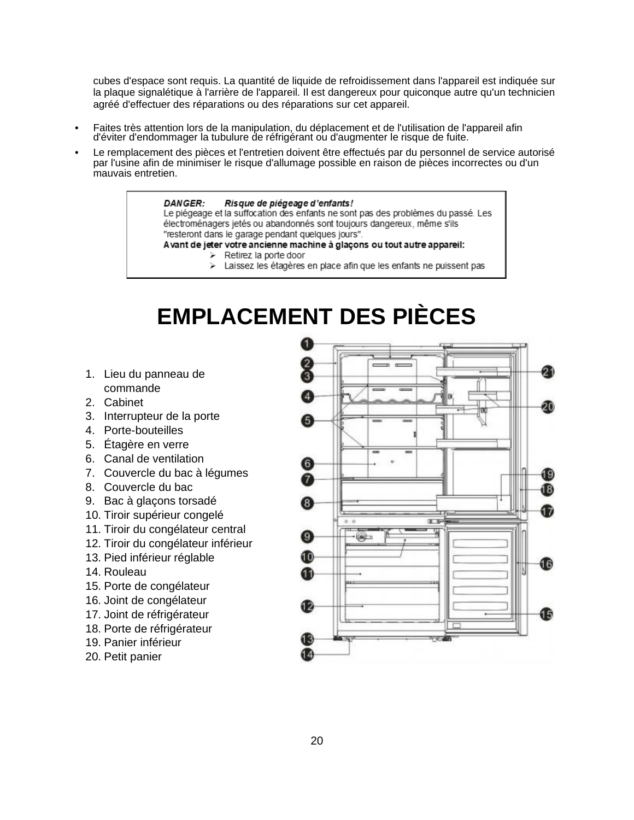cubes d'espace sont requis. La quantité de liquide de refroidissement dans l'appareil est indiquée sur la plaque signalétique à l'arrière de l'appareil. Il est dangereux pour quiconque autre qu'un technicien agréé d'effectuer des réparations ou des réparations sur cet appareil.

- Faites très attention lors de la manipulation, du déplacement et de l'utilisation de l'appareil afin d'éviter d'endommager la tubulure de réfrigérant ou d'augmenter le risque de fuite.
- Le remplacement des pièces et l'entretien doivent être effectués par du personnel de service autorisé par l'usine afin de minimiser le risque d'allumage possible en raison de pièces incorrectes ou d'un mauvais entretien.

#### Risque de piégeage d'enfants! DANGER:

Le piégeage et la suffocation des enfants ne sont pas des problèmes du passé. Les électroménagers jetés ou abandonnés sont toujours dangereux, même s'ils "resteront dans le garage pendant quelques jours".

#### Avant de jeter votre ancienne machine à glaçons ou tout autre appareil:

- > Retirez la porte door
- > Laissez les étagères en place afin que les enfants ne puissent pas

### <span id="page-19-0"></span>**EMPLACEMENT DES PIÈCES**

- 1. Lieu du panneau de commande
- 2. Cabinet
- 3. Interrupteur de la porte
- 4. Porte-bouteilles
- 5. Étagère en verre
- 6. Canal de ventilation
- 7. Couvercle du bac à légumes
- 8. Couvercle du bac
- 9. Bac à glaçons torsadé
- 10. Tiroir supérieur congelé
- 11. Tiroir du congélateur central
- 12. Tiroir du congélateur inférieur
- 13. Pied inférieur réglable
- 14. Rouleau
- 15. Porte de congélateur
- 16. Joint de congélateur
- 17. Joint de réfrigérateur
- 18. Porte de réfrigérateur
- 19. Panier inférieur
- 20. Petit panier

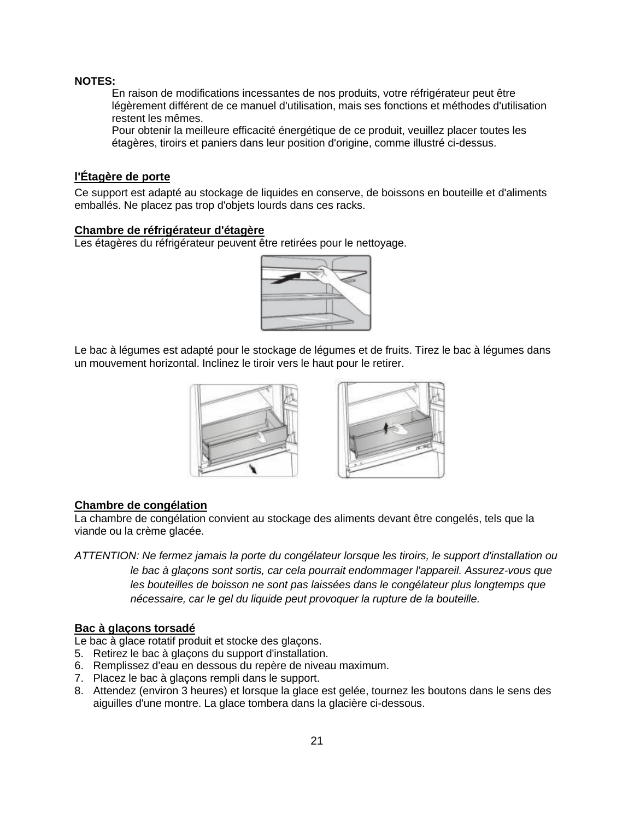#### **NOTES:**

En raison de modifications incessantes de nos produits, votre réfrigérateur peut être légèrement différent de ce manuel d'utilisation, mais ses fonctions et méthodes d'utilisation restent les mêmes.

Pour obtenir la meilleure efficacité énergétique de ce produit, veuillez placer toutes les étagères, tiroirs et paniers dans leur position d'origine, comme illustré ci-dessus.

### **l'Étagère de porte**

Ce support est adapté au stockage de liquides en conserve, de boissons en bouteille et d'aliments emballés. Ne placez pas trop d'objets lourds dans ces racks.

#### **Chambre de réfrigérateur d'étagère**

Les étagères du réfrigérateur peuvent être retirées pour le nettoyage.



Le bac à légumes est adapté pour le stockage de légumes et de fruits. Tirez le bac à légumes dans un mouvement horizontal. Inclinez le tiroir vers le haut pour le retirer.



#### **Chambre de congélation**

La chambre de congélation convient au stockage des aliments devant être congelés, tels que la viande ou la crème glacée.

*ATTENTION: Ne fermez jamais la porte du congélateur lorsque les tiroirs, le support d'installation ou le bac à glaçons sont sortis, car cela pourrait endommager l'appareil. Assurez-vous que les bouteilles de boisson ne sont pas laissées dans le congélateur plus longtemps que nécessaire, car le gel du liquide peut provoquer la rupture de la bouteille.*

#### **Bac à glaçons torsadé**

Le bac à glace rotatif produit et stocke des glaçons.

- 5. Retirez le bac à glaçons du support d'installation.
- 6. Remplissez d'eau en dessous du repère de niveau maximum.
- 7. Placez le bac à glaçons rempli dans le support.
- 8. Attendez (environ 3 heures) et lorsque la glace est gelée, tournez les boutons dans le sens des aiguilles d'une montre. La glace tombera dans la glacière ci-dessous.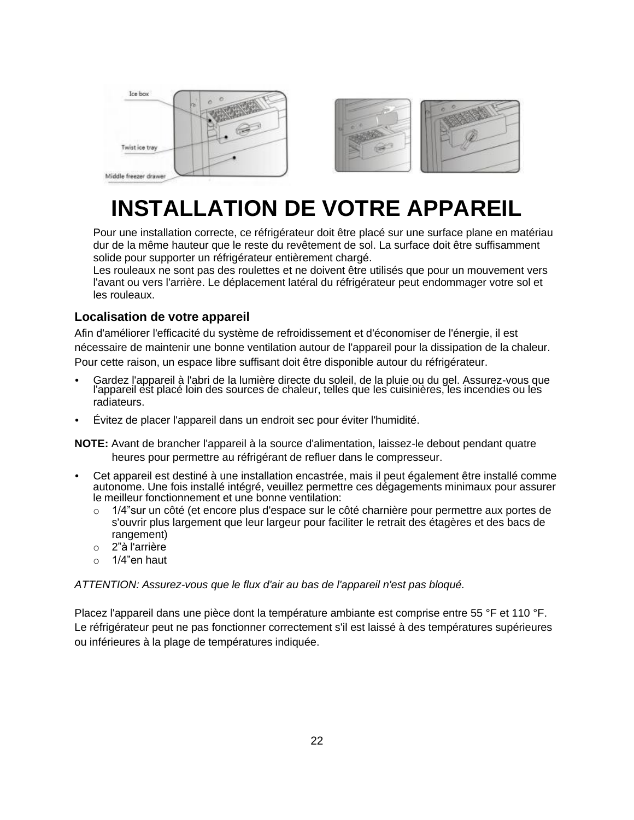



### <span id="page-21-0"></span>**INSTALLATION DE VOTRE APPAREIL**

Pour une installation correcte, ce réfrigérateur doit être placé sur une surface plane en matériau dur de la même hauteur que le reste du revêtement de sol. La surface doit être suffisamment solide pour supporter un réfrigérateur entièrement chargé.

Les rouleaux ne sont pas des roulettes et ne doivent être utilisés que pour un mouvement vers l'avant ou vers l'arrière. Le déplacement latéral du réfrigérateur peut endommager votre sol et les rouleaux.

### <span id="page-21-1"></span>**Localisation de votre appareil**

Afin d'améliorer l'efficacité du système de refroidissement et d'économiser de l'énergie, il est nécessaire de maintenir une bonne ventilation autour de l'appareil pour la dissipation de la chaleur. Pour cette raison, un espace libre suffisant doit être disponible autour du réfrigérateur.

- Gardez l'appareil à l'abri de la lumière directe du soleil, de la pluie ou du gel. Assurez-vous que l'appareil est placé loin des sources de chaleur, telles que les cuisinières, les incendies ou les radiateurs.
- Évitez de placer l'appareil dans un endroit sec pour éviter l'humidité.

**NOTE:** Avant de brancher l'appareil à la source d'alimentation, laissez-le debout pendant quatre heures pour permettre au réfrigérant de refluer dans le compresseur.

- Cet appareil est destiné à une installation encastrée, mais il peut également être installé comme autonome. Une fois installé intégré, veuillez permettre ces dégagements minimaux pour assurer le meilleur fonctionnement et une bonne ventilation:
	- $\circ$  1/4"sur un côté (et encore plus d'espace sur le côté charnière pour permettre aux portes de s'ouvrir plus largement que leur largeur pour faciliter le retrait des étagères et des bacs de rangement)
	- o 2"à l'arrière
	- $\circ$  1/4"en haut

*ATTENTION: Assurez-vous que le flux d'air au bas de l'appareil n'est pas bloqué.*

Placez l'appareil dans une pièce dont la température ambiante est comprise entre 55 °F et 110 °F. Le réfrigérateur peut ne pas fonctionner correctement s'il est laissé à des températures supérieures ou inférieures à la plage de températures indiquée.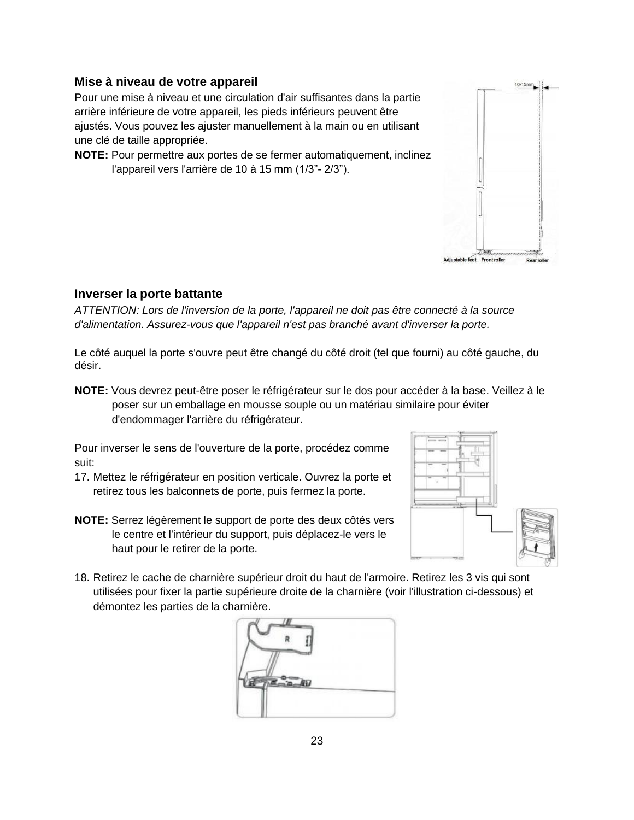### <span id="page-22-0"></span>**Mise à niveau de votre appareil**

Pour une mise à niveau et une circulation d'air suffisantes dans la partie arrière inférieure de votre appareil, les pieds inférieurs peuvent être ajustés. Vous pouvez les ajuster manuellement à la main ou en utilisant une clé de taille appropriée.

**NOTE:** Pour permettre aux portes de se fermer automatiquement, inclinez l'appareil vers l'arrière de 10 à 15 mm (1/3"- 2/3").

### <span id="page-22-1"></span>**Inverser la porte battante**

*ATTENTION: Lors de l'inversion de la porte, l'appareil ne doit pas être connecté à la source d'alimentation. Assurez-vous que l'appareil n'est pas branché avant d'inverser la porte.*

Le côté auquel la porte s'ouvre peut être changé du côté droit (tel que fourni) au côté gauche, du désir.

**NOTE:** Vous devrez peut-être poser le réfrigérateur sur le dos pour accéder à la base. Veillez à le poser sur un emballage en mousse souple ou un matériau similaire pour éviter d'endommager l'arrière du réfrigérateur.

Pour inverser le sens de l'ouverture de la porte, procédez comme suit:

17. Mettez le réfrigérateur en position verticale. Ouvrez la porte et retirez tous les balconnets de porte, puis fermez la porte.





18. Retirez le cache de charnière supérieur droit du haut de l'armoire. Retirez les 3 vis qui sont utilisées pour fixer la partie supérieure droite de la charnière (voir l'illustration ci-dessous) et démontez les parties de la charnière.



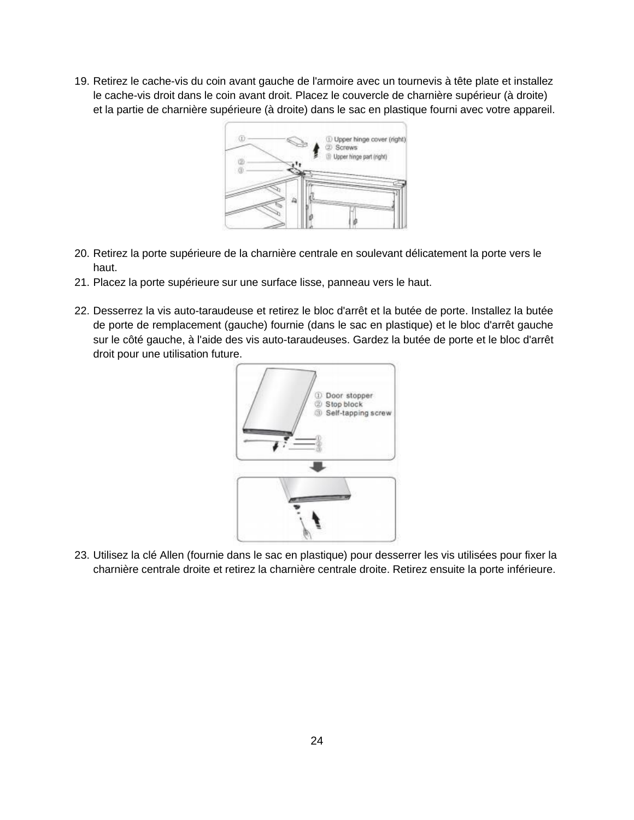19. Retirez le cache-vis du coin avant gauche de l'armoire avec un tournevis à tête plate et installez le cache-vis droit dans le coin avant droit. Placez le couvercle de charnière supérieur (à droite) et la partie de charnière supérieure (à droite) dans le sac en plastique fourni avec votre appareil.



- 20. Retirez la porte supérieure de la charnière centrale en soulevant délicatement la porte vers le haut.
- 21. Placez la porte supérieure sur une surface lisse, panneau vers le haut.
- 22. Desserrez la vis auto-taraudeuse et retirez le bloc d'arrêt et la butée de porte. Installez la butée de porte de remplacement (gauche) fournie (dans le sac en plastique) et le bloc d'arrêt gauche sur le côté gauche, à l'aide des vis auto-taraudeuses. Gardez la butée de porte et le bloc d'arrêt droit pour une utilisation future.



23. Utilisez la clé Allen (fournie dans le sac en plastique) pour desserrer les vis utilisées pour fixer la charnière centrale droite et retirez la charnière centrale droite. Retirez ensuite la porte inférieure.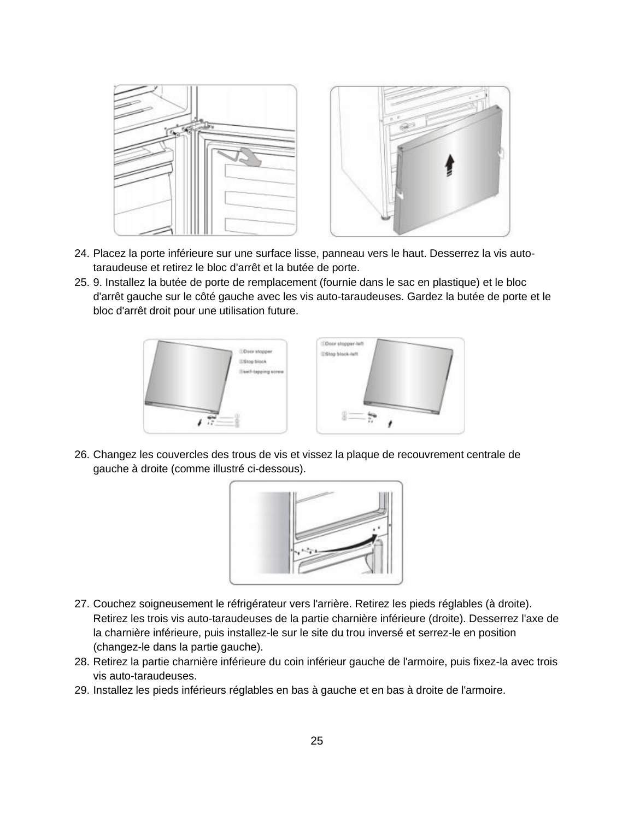

- 24. Placez la porte inférieure sur une surface lisse, panneau vers le haut. Desserrez la vis autotaraudeuse et retirez le bloc d'arrêt et la butée de porte.
- 25. 9. Installez la butée de porte de remplacement (fournie dans le sac en plastique) et le bloc d'arrêt gauche sur le côté gauche avec les vis auto-taraudeuses. Gardez la butée de porte et le bloc d'arrêt droit pour une utilisation future.



26. Changez les couvercles des trous de vis et vissez la plaque de recouvrement centrale de gauche à droite (comme illustré ci-dessous).



- 27. Couchez soigneusement le réfrigérateur vers l'arrière. Retirez les pieds réglables (à droite). Retirez les trois vis auto-taraudeuses de la partie charnière inférieure (droite). Desserrez l'axe de la charnière inférieure, puis installez-le sur le site du trou inversé et serrez-le en position (changez-le dans la partie gauche).
- 28. Retirez la partie charnière inférieure du coin inférieur gauche de l'armoire, puis fixez-la avec trois vis auto-taraudeuses.
- 29. Installez les pieds inférieurs réglables en bas à gauche et en bas à droite de l'armoire.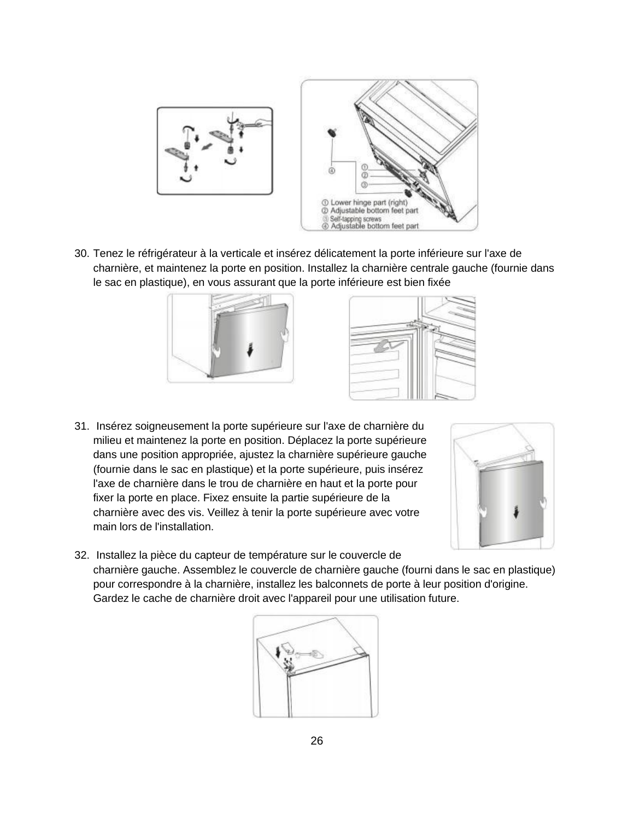

30. Tenez le réfrigérateur à la verticale et insérez délicatement la porte inférieure sur l'axe de charnière, et maintenez la porte en position. Installez la charnière centrale gauche (fournie dans le sac en plastique), en vous assurant que la porte inférieure est bien fixée





31. Insérez soigneusement la porte supérieure sur l'axe de charnière du milieu et maintenez la porte en position. Déplacez la porte supérieure dans une position appropriée, ajustez la charnière supérieure gauche (fournie dans le sac en plastique) et la porte supérieure, puis insérez l'axe de charnière dans le trou de charnière en haut et la porte pour fixer la porte en place. Fixez ensuite la partie supérieure de la charnière avec des vis. Veillez à tenir la porte supérieure avec votre main lors de l'installation.



32. Installez la pièce du capteur de température sur le couvercle de charnière gauche. Assemblez le couvercle de charnière gauche (fourni dans le sac en plastique) pour correspondre à la charnière, installez les balconnets de porte à leur position d'origine. Gardez le cache de charnière droit avec l'appareil pour une utilisation future.

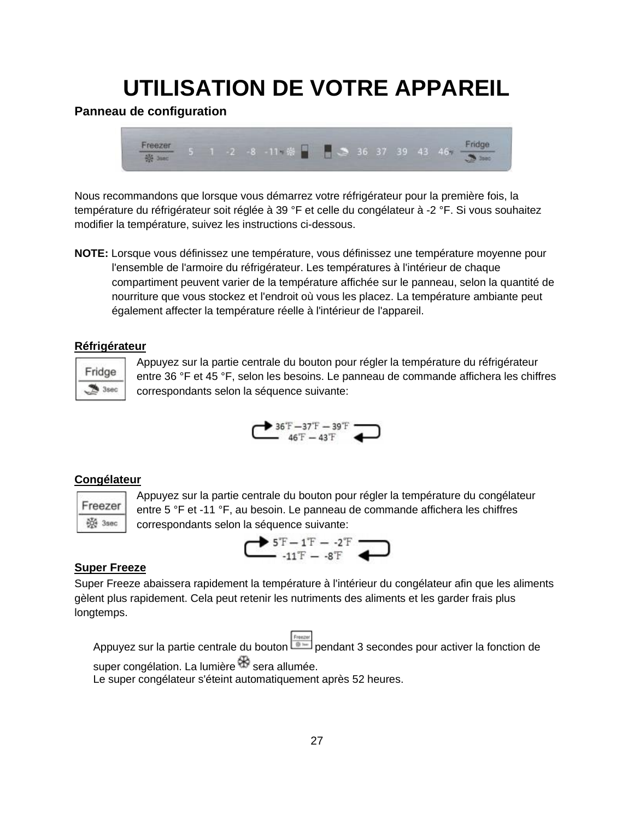### **UTILISATION DE VOTRE APPAREIL**

### <span id="page-26-0"></span>**Panneau de configuration**

| Freezer 5 1 -2 -8 -11 - ※ ■ ■ ■ ■ ■ ■ 36 37 39 43 46 <del>- Fridge</del> |  |  |  |  |  |  |  |
|--------------------------------------------------------------------------|--|--|--|--|--|--|--|
|                                                                          |  |  |  |  |  |  |  |

Nous recommandons que lorsque vous démarrez votre réfrigérateur pour la première fois, la température du réfrigérateur soit réglée à 39 °F et celle du congélateur à -2 °F. Si vous souhaitez modifier la température, suivez les instructions ci-dessous.

**NOTE:** Lorsque vous définissez une température, vous définissez une température moyenne pour l'ensemble de l'armoire du réfrigérateur. Les températures à l'intérieur de chaque compartiment peuvent varier de la température affichée sur le panneau, selon la quantité de nourriture que vous stockez et l'endroit où vous les placez. La température ambiante peut également affecter la température réelle à l'intérieur de l'appareil.

### **Réfrigérateur**

| ۰ |
|---|
|   |

Appuyez sur la partie centrale du bouton pour régler la température du réfrigérateur entre 36 °F et 45 °F, selon les besoins. Le panneau de commande affichera les chiffres correspondants selon la séquence suivante:

$$
\bigoplus_{46\text{ }T\text{ }-43\text{ }T} \bigoplus_{46\text{ }T\text{ }-43\text{ }T} \bigoplus
$$

### **Congélateur**

| رسم<br>н<br>۰ |
|---------------|
|               |

Appuyez sur la partie centrale du bouton pour régler la température du congélateur entre 5 °F et -11 °F, au besoin. Le panneau de commande affichera les chiffres correspondants selon la séquence suivante:



### **Super Freeze**

Super Freeze abaissera rapidement la température à l'intérieur du congélateur afin que les aliments gèlent plus rapidement. Cela peut retenir les nutriments des aliments et les garder frais plus longtemps.

Appuyez sur la partie centrale du bouton pendant 3 secondes pour activer la fonction de super congélation. La lumière  $\mathfrak{B}$  sera allumée.

Le super congélateur s'éteint automatiquement après 52 heures.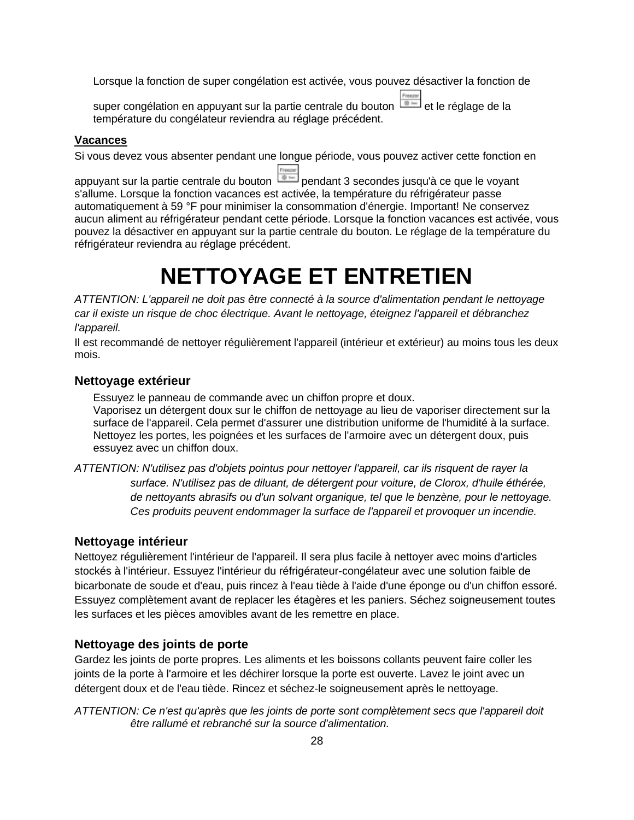Lorsque la fonction de super congélation est activée, vous pouvez désactiver la fonction de

super congélation en appuyant sur la partie centrale du bouton **et du** et le réglage de la température du congélateur reviendra au réglage précédent.

#### **Vacances**

Si vous devez vous absenter pendant une longue période, vous pouvez activer cette fonction en

appuyant sur la partie centrale du bouton pendant 3 secondes jusqu'à ce que le voyant s'allume. Lorsque la fonction vacances est activée, la température du réfrigérateur passe automatiquement à 59 °F pour minimiser la consommation d'énergie. Important! Ne conservez aucun aliment au réfrigérateur pendant cette période. Lorsque la fonction vacances est activée, vous pouvez la désactiver en appuyant sur la partie centrale du bouton. Le réglage de la température du réfrigérateur reviendra au réglage précédent.

### **NETTOYAGE ET ENTRETIEN**

*ATTENTION: L'appareil ne doit pas être connecté à la source d'alimentation pendant le nettoyage car il existe un risque de choc électrique. Avant le nettoyage, éteignez l'appareil et débranchez l'appareil.*

Il est recommandé de nettoyer régulièrement l'appareil (intérieur et extérieur) au moins tous les deux mois.

### <span id="page-27-0"></span>**Nettoyage extérieur**

Essuyez le panneau de commande avec un chiffon propre et doux.

Vaporisez un détergent doux sur le chiffon de nettoyage au lieu de vaporiser directement sur la surface de l'appareil. Cela permet d'assurer une distribution uniforme de l'humidité à la surface. Nettoyez les portes, les poignées et les surfaces de l'armoire avec un détergent doux, puis essuyez avec un chiffon doux.

*ATTENTION: N'utilisez pas d'objets pointus pour nettoyer l'appareil, car ils risquent de rayer la surface. N'utilisez pas de diluant, de détergent pour voiture, de Clorox, d'huile éthérée, de nettoyants abrasifs ou d'un solvant organique, tel que le benzène, pour le nettoyage. Ces produits peuvent endommager la surface de l'appareil et provoquer un incendie.*

### <span id="page-27-1"></span>**Nettoyage intérieur**

Nettoyez régulièrement l'intérieur de l'appareil. Il sera plus facile à nettoyer avec moins d'articles stockés à l'intérieur. Essuyez l'intérieur du réfrigérateur-congélateur avec une solution faible de bicarbonate de soude et d'eau, puis rincez à l'eau tiède à l'aide d'une éponge ou d'un chiffon essoré. Essuyez complètement avant de replacer les étagères et les paniers. Séchez soigneusement toutes les surfaces et les pièces amovibles avant de les remettre en place.

### <span id="page-27-2"></span>**Nettoyage des joints de porte**

Gardez les joints de porte propres. Les aliments et les boissons collants peuvent faire coller les joints de la porte à l'armoire et les déchirer lorsque la porte est ouverte. Lavez le joint avec un détergent doux et de l'eau tiède. Rincez et séchez-le soigneusement après le nettoyage.

*ATTENTION: Ce n'est qu'après que les joints de porte sont complètement secs que l'appareil doit être rallumé et rebranché sur la source d'alimentation.*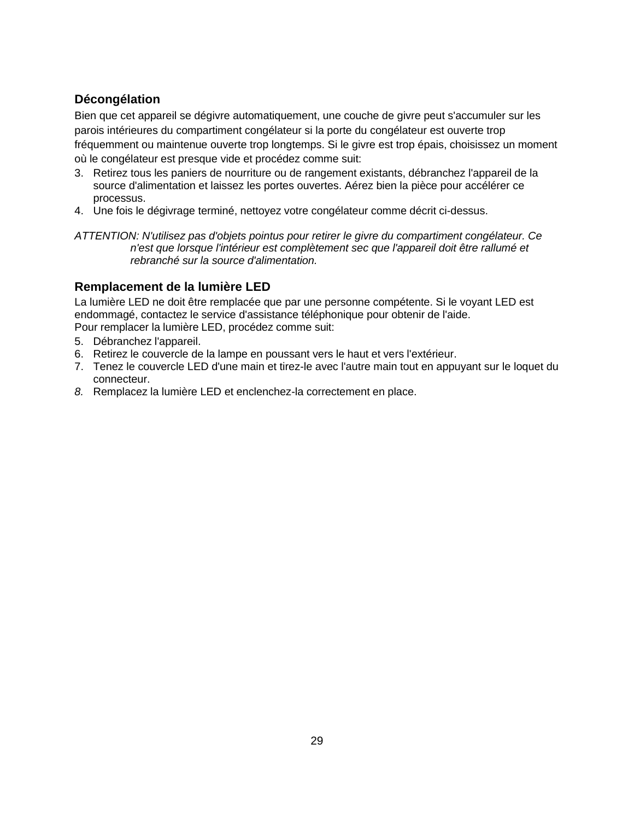### <span id="page-28-0"></span>**Décongélation**

Bien que cet appareil se dégivre automatiquement, une couche de givre peut s'accumuler sur les parois intérieures du compartiment congélateur si la porte du congélateur est ouverte trop fréquemment ou maintenue ouverte trop longtemps. Si le givre est trop épais, choisissez un moment où le congélateur est presque vide et procédez comme suit:

- 3. Retirez tous les paniers de nourriture ou de rangement existants, débranchez l'appareil de la source d'alimentation et laissez les portes ouvertes. Aérez bien la pièce pour accélérer ce processus.
- 4. Une fois le dégivrage terminé, nettoyez votre congélateur comme décrit ci-dessus.

*ATTENTION: N'utilisez pas d'objets pointus pour retirer le givre du compartiment congélateur. Ce n'est que lorsque l'intérieur est complètement sec que l'appareil doit être rallumé et rebranché sur la source d'alimentation.*

### <span id="page-28-1"></span>**Remplacement de la lumière LED**

La lumière LED ne doit être remplacée que par une personne compétente. Si le voyant LED est endommagé, contactez le service d'assistance téléphonique pour obtenir de l'aide. Pour remplacer la lumière LED, procédez comme suit:

- 5. Débranchez l'appareil.
- 6. Retirez le couvercle de la lampe en poussant vers le haut et vers l'extérieur.
- 7. Tenez le couvercle LED d'une main et tirez-le avec l'autre main tout en appuyant sur le loquet du connecteur.
- *8.* Remplacez la lumière LED et enclenchez-la correctement en place.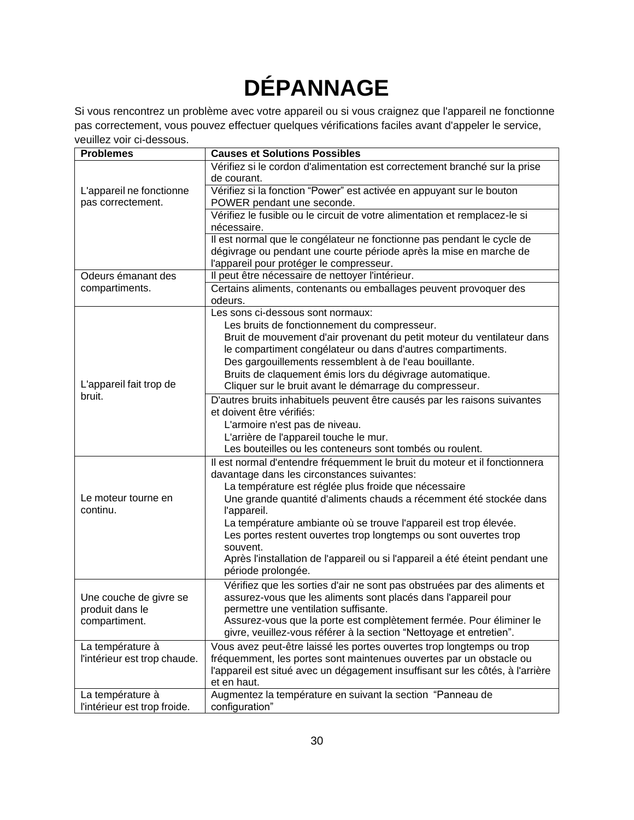# **DÉPANNAGE**

<span id="page-29-0"></span>Si vous rencontrez un problème avec votre appareil ou si vous craignez que l'appareil ne fonctionne pas correctement, vous pouvez effectuer quelques vérifications faciles avant d'appeler le service, veuillez voir ci-dessous.

| <b>Problemes</b>                | <b>Causes et Solutions Possibles</b>                                                      |
|---------------------------------|-------------------------------------------------------------------------------------------|
|                                 | Vérifiez si le cordon d'alimentation est correctement branché sur la prise<br>de courant. |
| L'appareil ne fonctionne        | Vérifiez si la fonction "Power" est activée en appuyant sur le bouton                     |
| pas correctement.               | POWER pendant une seconde.                                                                |
|                                 | Vérifiez le fusible ou le circuit de votre alimentation et remplacez-le si                |
|                                 | nécessaire.                                                                               |
|                                 | Il est normal que le congélateur ne fonctionne pas pendant le cycle de                    |
|                                 | dégivrage ou pendant une courte période après la mise en marche de                        |
|                                 | l'appareil pour protéger le compresseur.                                                  |
| Odeurs émanant des              | Il peut être nécessaire de nettoyer l'intérieur.                                          |
| compartiments.                  | Certains aliments, contenants ou emballages peuvent provoquer des                         |
|                                 | odeurs.                                                                                   |
|                                 | Les sons ci-dessous sont normaux:                                                         |
|                                 | Les bruits de fonctionnement du compresseur.                                              |
|                                 | Bruit de mouvement d'air provenant du petit moteur du ventilateur dans                    |
|                                 | le compartiment congélateur ou dans d'autres compartiments.                               |
|                                 | Des gargouillements ressemblent à de l'eau bouillante.                                    |
|                                 | Bruits de claquement émis lors du dégivrage automatique.                                  |
| L'appareil fait trop de         | Cliquer sur le bruit avant le démarrage du compresseur.                                   |
| bruit.                          | D'autres bruits inhabituels peuvent être causés par les raisons suivantes                 |
|                                 | et doivent être vérifiés:                                                                 |
|                                 | L'armoire n'est pas de niveau.                                                            |
|                                 | L'arrière de l'appareil touche le mur.                                                    |
|                                 | Les bouteilles ou les conteneurs sont tombés ou roulent.                                  |
|                                 | Il est normal d'entendre fréquemment le bruit du moteur et il fonctionnera                |
|                                 | davantage dans les circonstances suivantes:                                               |
|                                 | La température est réglée plus froide que nécessaire                                      |
| Le moteur tourne en<br>continu. | Une grande quantité d'aliments chauds a récemment été stockée dans<br>l'appareil.         |
|                                 | La température ambiante où se trouve l'appareil est trop élevée.                          |
|                                 | Les portes restent ouvertes trop longtemps ou sont ouvertes trop                          |
|                                 | souvent.                                                                                  |
|                                 | Après l'installation de l'appareil ou si l'appareil a été éteint pendant une              |
|                                 | période prolongée.                                                                        |
|                                 | Vérifiez que les sorties d'air ne sont pas obstruées par des aliments et                  |
| Une couche de givre se          | assurez-vous que les aliments sont placés dans l'appareil pour                            |
| produit dans le                 | permettre une ventilation suffisante.                                                     |
| compartiment.                   | Assurez-vous que la porte est complètement fermée. Pour éliminer le                       |
|                                 | givre, veuillez-vous référer à la section "Nettoyage et entretien".                       |
| La température à                | Vous avez peut-être laissé les portes ouvertes trop longtemps ou trop                     |
| l'intérieur est trop chaude.    | fréquemment, les portes sont maintenues ouvertes par un obstacle ou                       |
|                                 | l'appareil est situé avec un dégagement insuffisant sur les côtés, à l'arrière            |
|                                 | et en haut.                                                                               |
| La température à                | Augmentez la température en suivant la section "Panneau de                                |
| l'intérieur est trop froide.    | configuration"                                                                            |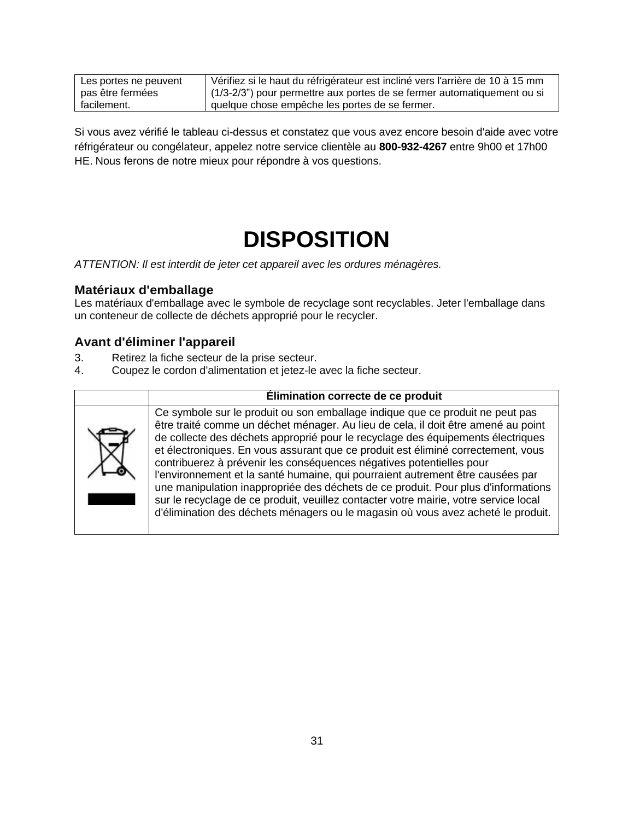| Les portes ne peuvent | Vérifiez si le haut du réfrigérateur est incliné vers l'arrière de 10 à 15 mm |
|-----------------------|-------------------------------------------------------------------------------|
| pas être fermées      | (1/3-2/3") pour permettre aux portes de se fermer automatiquement ou si       |
| facilement.           | quelque chose empêche les portes de se fermer.                                |

Si vous avez vérifié le tableau ci-dessus et constatez que vous avez encore besoin d'aide avec votre réfrigérateur ou congélateur, appelez notre service clientèle au **800-932-4267** entre 9h00 et 17h00 HE. Nous ferons de notre mieux pour répondre à vos questions.

### **DISPOSITION**

<span id="page-30-0"></span>*ATTENTION: Il est interdit de jeter cet appareil avec les ordures ménagères.*

### **Matériaux d'emballage**

Les matériaux d'emballage avec le symbole de recyclage sont recyclables. Jeter l'emballage dans un conteneur de collecte de déchets approprié pour le recycler.

### **Avant d'éliminer l'appareil**

- 3. Retirez la fiche secteur de la prise secteur.
- 4. Coupez le cordon d'alimentation et jetez-le avec la fiche secteur.